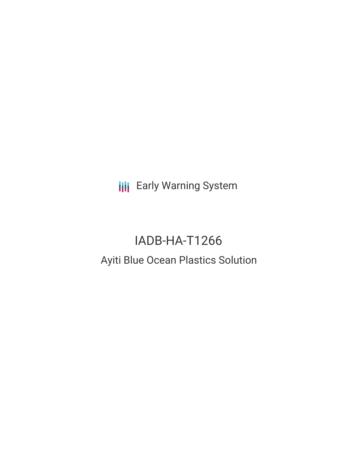**III** Early Warning System

# IADB-HA-T1266 Ayiti Blue Ocean Plastics Solution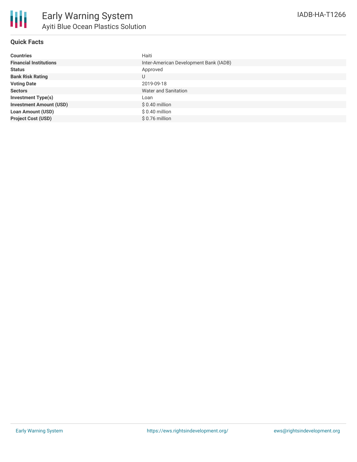

### **Quick Facts**

| <b>Countries</b>               | Haiti                                  |
|--------------------------------|----------------------------------------|
| <b>Financial Institutions</b>  | Inter-American Development Bank (IADB) |
| <b>Status</b>                  | Approved                               |
| <b>Bank Risk Rating</b>        | U                                      |
| <b>Voting Date</b>             | 2019-09-18                             |
| <b>Sectors</b>                 | Water and Sanitation                   |
| <b>Investment Type(s)</b>      | Loan                                   |
| <b>Investment Amount (USD)</b> | $$0.40$ million                        |
| <b>Loan Amount (USD)</b>       | $$0.40$ million                        |
| <b>Project Cost (USD)</b>      | $$0.76$ million                        |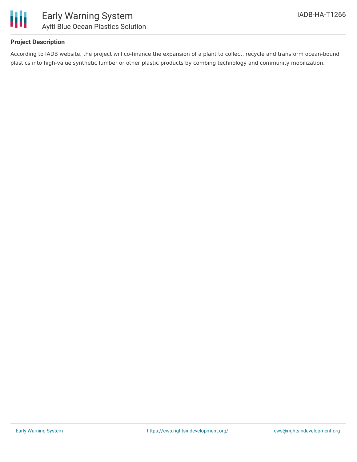



## **Project Description**

According to IADB website, the project will co-finance the expansion of a plant to collect, recycle and transform ocean-bound plastics into high-value synthetic lumber or other plastic products by combing technology and community mobilization.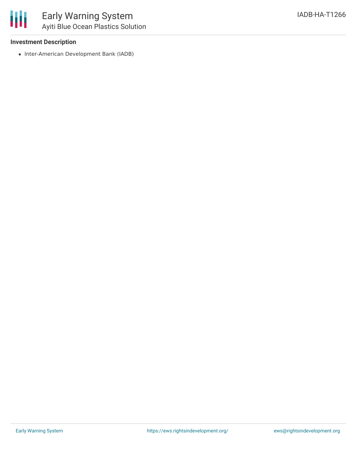

### **Investment Description**

• Inter-American Development Bank (IADB)